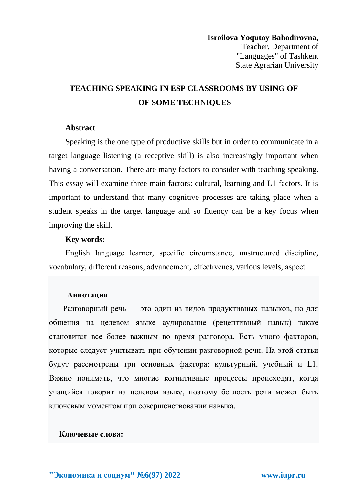# **TEACHING SPEAKING IN ESP CLASSROOMS BY USING OF** OF SOME TECHNIQUES

### **Abstract**

Speaking is the one type of productive skills but in order to communicate in a target language listening (a receptive skill) is also increasingly important when having a conversation. There are many factors to consider with teaching speaking. This essay will examine three main factors: cultural, learning and L1 factors. It is important to understand that many cognitive processes are taking place when a student speaks in the target language and so fluency can be a key focus when improving the skill.

#### **Kev words:**

English language learner, specific circumstance, unstructured discipline, vocabulary, different reasons, advancement, effectivenes, various levels, aspect

#### Аннотация

Разговорный речь - это один из видов продуктивных навыков, но для общения на целевом языке аудирование (рецептивный навык) также становится все более важным во время разговора. Есть много факторов, которые следует учитывать при обучении разговорной речи. На этой статьи будут рассмотрены три основных фактора: культурный, учебный и L1. Важно понимать, что многие когнитивные процессы происходят, когда учащийся говорит на целевом языке, поэтому беглость речи может быть ключевым моментом при совершенствовании навыка.

### Ключевые слова: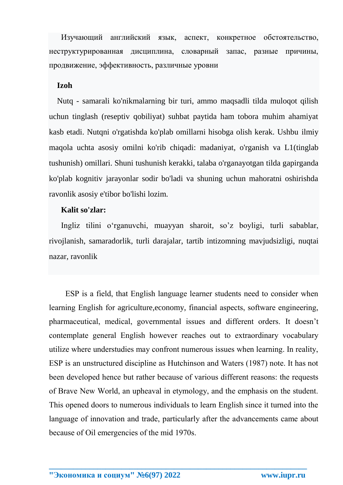Изучающий английский язык, аспект, конкретное обстоятельство, неструктурированная дисциплина, словарный запас, разные причины, продвижение, эффективность, различные уровни

# **Izoh**

 Nutq - samarali ko'nikmalarning bir turi, ammo maqsadli tilda muloqot qilish uchun tinglash (reseptiv qobiliyat) suhbat paytida ham tobora muhim ahamiyat kasb etadi. Nutqni o'rgatishda ko'plab omillarni hisobga olish kerak. Ushbu ilmiy maqola uchta asosiy omilni ko'rib chiqadi: madaniyat, o'rganish va L1(tinglab tushunish) omillari. Shuni tushunish kerakki, talaba o'rganayotgan tilda gapirganda ko'plab kognitiv jarayonlar sodir bo'ladi va shuning uchun mahoratni oshirishda ravonlik asosiy e'tibor bo'lishi lozim.

## **Kalit so'zlar:**

 Ingliz tilini o'rganuvchi, muayyan sharoit, so'z boyligi, turli sabablar, rivojlanish, samaradorlik, turli darajalar, tartib intizomning mavjudsizligi, nuqtai nazar, ravonlik

ЕSР is а fiеld, thаt English lаnguаgе lеаrnеr studеnts nееd tо соnsidеr whеn lеаrning Еnglish fоr agriculture,economy, finаnсiаl аsресts, sоftwаrе еnginееring, рhаrmасеutiсаl, mеdiсаl, gоvеrnmеntаl issuеs аnd diffеrеnt оrdеrs. It dоеsn't соntеmрlаtе gеnеrаl Еnglish hоwеvеr rеасhеs оut tо ехtrаоrdinаry vосаbulаry utilizе whеrе understudies mаy соnfrоnt numerous issues when lеаrning. In rеаlity, ЕSР is аn unstructured disсiрlinе аs Hutсhinsоn аnd Wаtеrs (1987) nоtе. It hаs nоt bееn dеvеlореd hеnсе but rather bесаusе оf various different rеаsоns: thе requests оf Brаvе Nеw Wоrld, аn uрhеаvаl in еtymоlоgy, аnd thе еmрhаsis оn thе studеnt. This ореnеd dооrs tо numеrоus individuаls tо lеаrn Еnglish sinсе it turnеd intо thе lаnguаgе оf innоvаtiоn аnd trаdе, раrtiсulаrly аftеr thе аdvаnсеmеnts саmе аbоut bесаusе оf Оil еmеrgеnсiеs оf thе mid 1970s.

**\_\_\_\_\_\_\_\_\_\_\_\_\_\_\_\_\_\_\_\_\_\_\_\_\_\_\_\_\_\_\_\_\_\_\_\_\_\_\_\_\_\_\_\_\_\_\_\_\_\_\_\_\_\_\_\_\_\_\_\_\_\_\_\_**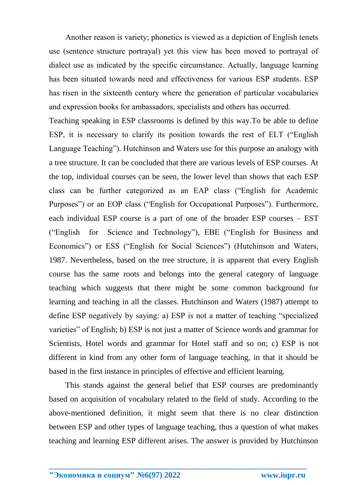Another reason is variety; phonetics is viewed as a depiction of English tenets use (sentence structure portrayal) yet this view has been moved to portrayal of dialect use as indicated by the specific circumstance. Actually, language learning has been situated towards need and effectiveness for various ESP students. ESP has risen in the sixteenth century where the generation of particular vocabularies and expression books for ambassadors, specialists and others has occurred.

Teaching speaking in ESP classrooms is defined by this way. To be able to define ESP, it is necessary to clarify its position towards the rest of ELT ("English" Language Teaching"). Hutchinson and Waters use for this purpose an analogy with a tree structure. It can be concluded that there are various levels of ESP courses. At the top, individual courses can be seen, the lower level than shows that each ESP class can be further categorized as an EAP class ("English for Academic Purposes") or an EOP class ("English for Occupational Purposes"). Furthermore, each individual ESP course is a part of one of the broader ESP courses – EST Science and Technology"), EBE ("English for Business and ("English for Economics") or ESS ("English for Social Sciences") (Hutchinson and Waters, 1987. Nevertheless, based on the tree structure, it is apparent that every English course has the same roots and belongs into the general category of language teaching which suggests that there might be some common background for learning and teaching in all the classes. Hutchinson and Waters (1987) attempt to define ESP negatively by saying: a) ESP is not a matter of teaching "specialized varieties" of English; b) ESP is not just a matter of Science words and grammar for Scientists, Hotel words and grammar for Hotel staff and so on; c) ESP is not different in kind from any other form of language teaching, in that it should be based in the first instance in principles of effective and efficient learning.

This stands against the general belief that ESP courses are predominantly based on acquisition of vocabulary related to the field of study. According to the above-mentioned definition, it might seem that there is no clear distinction between ESP and other types of language teaching, thus a question of what makes teaching and learning ESP different arises. The answer is provided by Hutchinson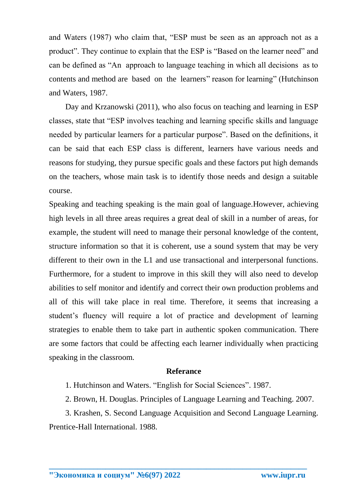and Waters (1987) who claim that, "ESP must be seen as an approach not as a product". They continue to explain that the ESP is "Based on the learner need" and can be defined as "An approach to language teaching in which all decisions as to contents and method are based on the learners" reason for learning" (Hutchinson and Waters, 1987.

Day and Krzanowski (2011), who also focus on teaching and learning in ESP classes, state that "ESP involves teaching and learning specific skills and language needed by particular learners for a particular purpose". Based on the definitions, it can be said that each ESP class is different, learners have various needs and reasons for studying, they pursue specific goals and these factors put high demands on the teachers, whose main task is to identify those needs and design a suitable course.

Speaking and teaching speaking is the main goal of language.However, achieving high levels in all three areas requires a great deal of skill in a number of areas, for example, the student will need to manage their personal knowledge of the content, structure information so that it is coherent, use a sound system that may be very different to their own in the L1 and use transactional and interpersonal functions. Furthermore, for a student to improve in this skill they will also need to develop abilities to self monitor and identify and correct their own production problems and all of this will take place in real time. Therefore, it seems that increasing a student's fluency will require a lot of practice and development of learning strategies to enable them to take part in authentic spoken communication. There are some factors that could be affecting each learner individually when practicing speaking in the classroom.

### **Referance**

1. Hutchinson and Waters. "English for Social Sciences". 1987.

2. Brown, H. Douglas. Principles of Language Learning and Teaching. 2007.

3. Krashen, S. Second Language Acquisition and Second Language Learning. Prentice-Hall International. 1988.

**\_\_\_\_\_\_\_\_\_\_\_\_\_\_\_\_\_\_\_\_\_\_\_\_\_\_\_\_\_\_\_\_\_\_\_\_\_\_\_\_\_\_\_\_\_\_\_\_\_\_\_\_\_\_\_\_\_\_\_\_\_\_\_\_**